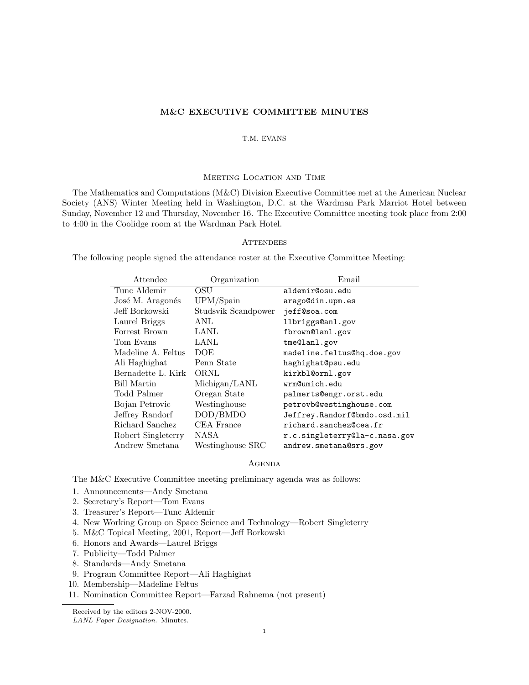# **M&C EXECUTIVE COMMITTEE MINUTES**

# T.M. EVANS

#### Meeting Location and Time

The Mathematics and Computations (M&C) Division Executive Committee met at the American Nuclear Society (ANS) Winter Meeting held in Washington, D.C. at the Wardman Park Marriot Hotel between Sunday, November 12 and Thursday, November 16. The Executive Committee meeting took place from 2:00 to 4:00 in the Coolidge room at the Wardman Park Hotel.

# **ATTENDEES**

The following people signed the attendance roster at the Executive Committee Meeting:

| Attendee           | Organization        | Email                         |
|--------------------|---------------------|-------------------------------|
| Tunc Aldemir       | OSU                 | aldemir@osu.edu               |
| José M. Aragonés   | UPM/Spain           | arago@din.upm.es              |
| Jeff Borkowski     | Studsvik Scandpower | jeff@soa.com                  |
| Laurel Briggs      | ANL                 | llbriggs@anl.gov              |
| Forrest Brown      | LANL                | fbrown@lanl.gov               |
| Tom Evans          | LANL                | tme@lanl.gov                  |
| Madeline A. Feltus | <b>DOE</b>          | madeline.feltus@hq.doe.gov    |
| Ali Haghighat      | Penn State          | haghighat@psu.edu             |
| Bernadette L. Kirk | ORNL                | kirkbl@ornl.gov               |
| Bill Martin        | Michigan/LANL       | wrm@umich.edu                 |
| Todd Palmer        | Oregan State        | palmerts@engr.orst.edu        |
| Bojan Petrovic     | Westinghouse        | petrovb@westinghouse.com      |
| Jeffrey Randorf    | DOD/BMDO            | Jeffrey.Randorf@bmdo.osd.mil  |
| Richard Sanchez    | CEA France          | richard.sanchez@cea.fr        |
| Robert Singleterry | NASA                | r.c.singleterry@la-c.nasa.gov |
| Andrew Smetana     | Westinghouse SRC    | andrew.smetana@srs.gov        |

## **AGENDA**

The M&C Executive Committee meeting preliminary agenda was as follows:

- 1. Announcements—Andy Smetana
- 2. Secretary's Report—Tom Evans
- 3. Treasurer's Report—Tunc Aldemir
- 4. New Working Group on Space Science and Technology—Robert Singleterry
- 5. M&C Topical Meeting, 2001, Report—Jeff Borkowski
- 6. Honors and Awards—Laurel Briggs
- 7. Publicity—Todd Palmer
- 8. Standards—Andy Smetana
- 9. Program Committee Report—Ali Haghighat
- 10. Membership—Madeline Feltus
- 11. Nomination Committee Report—Farzad Rahnema (not present)

Received by the editors 2-NOV-2000.

LANL Paper Designation. Minutes.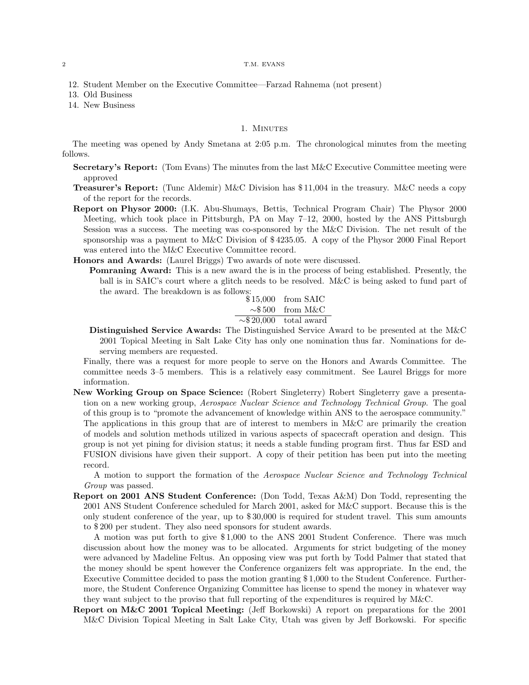#### 2 T.M. EVANS

- 12. Student Member on the Executive Committee—Farzad Rahnema (not present)
- 13. Old Business
- 14. New Business

### 1. MINUTES

The meeting was opened by Andy Smetana at 2:05 p.m. The chronological minutes from the meeting follows.

- **Secretary's Report:** (Tom Evans) The minutes from the last M&C Executive Committee meeting were approved
- **Treasurer's Report:** (Tunc Aldemir) M&C Division has \$ 11,004 in the treasury. M&C needs a copy of the report for the records.
- **Report on Physor 2000:** (I.K. Abu-Shumays, Bettis, Technical Program Chair) The Physor 2000 Meeting, which took place in Pittsburgh, PA on May 7–12, 2000, hosted by the ANS Pittsburgh Session was a success. The meeting was co-sponsored by the M&C Division. The net result of the sponsorship was a payment to M&C Division of \$ 4235.05. A copy of the Physor 2000 Final Report was entered into the M&C Executive Committee record.
- **Honors and Awards:** (Laurel Briggs) Two awards of note were discussed.
	- **Pomraning Award:** This is a new award the is in the process of being established. Presently, the ball is in SAIC's court where a glitch needs to be resolved. M&C is being asked to fund part of the award. The breakdown is as follows:

\$15,000 from SAIC  
\n
$$
\sim
$$
\$500 from M&C  
\n $\sim$ \$20,000 total award

**Distinguished Service Awards:** The Distinguished Service Award to be presented at the M&C 2001 Topical Meeting in Salt Lake City has only one nomination thus far. Nominations for deserving members are requested.

Finally, there was a request for more people to serve on the Honors and Awards Committee. The committee needs 3–5 members. This is a relatively easy commitment. See Laurel Briggs for more information.

**New Working Group on Space Science:** (Robert Singleterry) Robert Singleterry gave a presentation on a new working group, *Aerospace Nuclear Science and Technology Technical Group*. The goal of this group is to "promote the advancement of knowledge within ANS to the aerospace community." The applications in this group that are of interest to members in M&C are primarily the creation of models and solution methods utilized in various aspects of spacecraft operation and design. This group is not yet pining for division status; it needs a stable funding program first. Thus far ESD and FUSION divisions have given their support. A copy of their petition has been put into the meeting record.

A motion to support the formation of the *Aerospace Nuclear Science and Technology Technical Group* was passed.

**Report on 2001 ANS Student Conference:** (Don Todd, Texas A&M) Don Todd, representing the 2001 ANS Student Conference scheduled for March 2001, asked for M&C support. Because this is the only student conference of the year, up to \$ 30,000 is required for student travel. This sum amounts to \$ 200 per student. They also need sponsors for student awards.

A motion was put forth to give \$ 1,000 to the ANS 2001 Student Conference. There was much discussion about how the money was to be allocated. Arguments for strict budgeting of the money were advanced by Madeline Feltus. An opposing view was put forth by Todd Palmer that stated that the money should be spent however the Conference organizers felt was appropriate. In the end, the Executive Committee decided to pass the motion granting \$ 1,000 to the Student Conference. Furthermore, the Student Conference Organizing Committee has license to spend the money in whatever way they want subject to the proviso that full reporting of the expenditures is required by M&C.

**Report on M&C 2001 Topical Meeting:** (Jeff Borkowski) A report on preparations for the 2001 M&C Division Topical Meeting in Salt Lake City, Utah was given by Jeff Borkowski. For specific